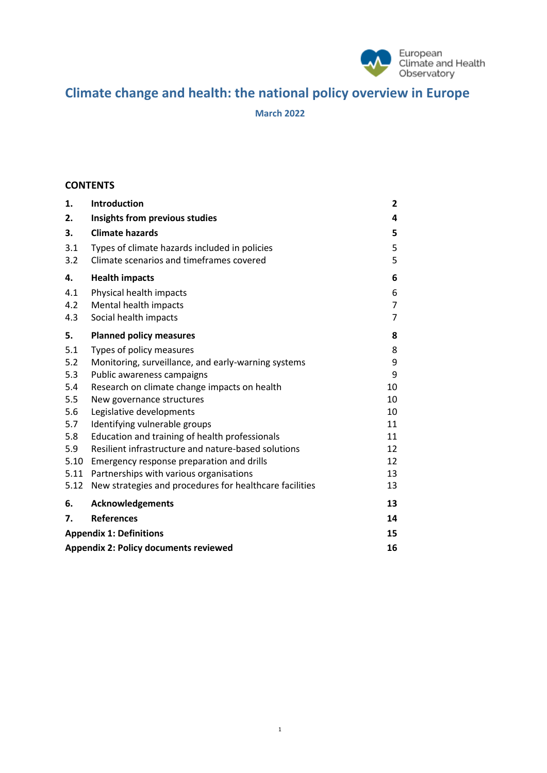

# **Climate change and health: the national policy overview in Europe**

**March 2022**

### **CONTENTS**

| 1.   | <b>Introduction</b>                                     | 2  |  |
|------|---------------------------------------------------------|----|--|
| 2.   | Insights from previous studies                          | 4  |  |
| 3.   | <b>Climate hazards</b>                                  | 5  |  |
| 3.1  | Types of climate hazards included in policies           | 5  |  |
| 3.2  | Climate scenarios and timeframes covered                | 5  |  |
| 4.   | <b>Health impacts</b>                                   | 6  |  |
| 4.1  | Physical health impacts                                 | 6  |  |
| 4.2  | Mental health impacts                                   | 7  |  |
| 4.3  | Social health impacts                                   | 7  |  |
| 5.   | <b>Planned policy measures</b>                          | 8  |  |
| 5.1  | Types of policy measures                                | 8  |  |
| 5.2  | Monitoring, surveillance, and early-warning systems     | 9  |  |
| 5.3  | Public awareness campaigns                              | 9  |  |
| 5.4  | Research on climate change impacts on health            | 10 |  |
| 5.5  | New governance structures                               | 10 |  |
| 5.6  | Legislative developments                                | 10 |  |
| 5.7  | Identifying vulnerable groups                           | 11 |  |
| 5.8  | Education and training of health professionals          | 11 |  |
| 5.9  | Resilient infrastructure and nature-based solutions     | 12 |  |
| 5.10 | Emergency response preparation and drills               | 12 |  |
| 5.11 | Partnerships with various organisations                 | 13 |  |
| 5.12 | New strategies and procedures for healthcare facilities | 13 |  |
| 6.   | <b>Acknowledgements</b>                                 | 13 |  |
| 7.   | <b>References</b>                                       | 14 |  |
|      | <b>Appendix 1: Definitions</b><br>15                    |    |  |
|      | <b>Appendix 2: Policy documents reviewed</b><br>16      |    |  |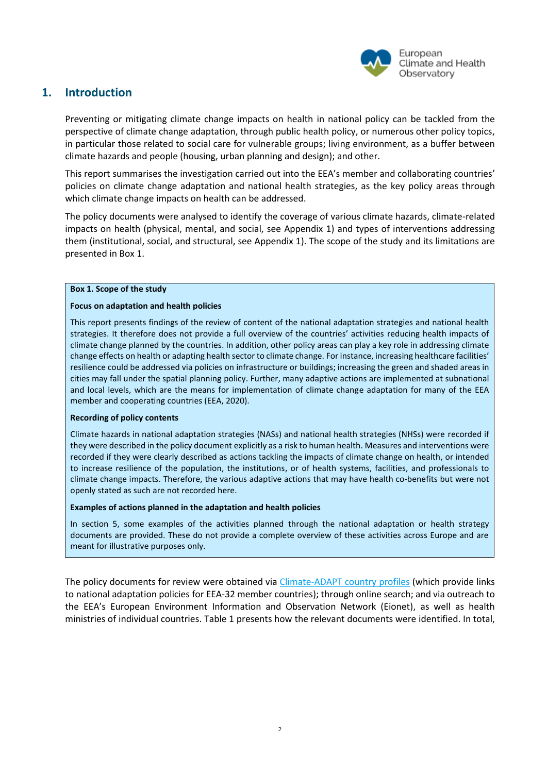

# <span id="page-1-0"></span>**1. Introduction**

Preventing or mitigating climate change impacts on health in national policy can be tackled from the perspective of climate change adaptation, through public health policy, or numerous other policy topics, in particular those related to social care for vulnerable groups; living environment, as a buffer between climate hazards and people (housing, urban planning and design); and other.

This report summarises the investigation carried out into the EEA's member and collaborating countries' policies on climate change adaptation and national health strategies, as the key policy areas through which climate change impacts on health can be addressed.

The policy documents were analysed to identify the coverage of various climate hazards, climate-related impacts on health (physical, mental, and social, see Appendix 1) and types of interventions addressing them (institutional, social, and structural, see Appendix 1). The scope of the study and its limitations are presented in Box 1.

#### **Box 1. Scope of the study**

#### **Focus on adaptation and health policies**

This report presents findings of the review of content of the national adaptation strategies and national health strategies. It therefore does not provide a full overview of the countries' activities reducing health impacts of climate change planned by the countries. In addition, other policy areas can play a key role in addressing climate change effects on health or adapting health sector to climate change. For instance, increasing healthcare facilities' resilience could be addressed via policies on infrastructure or buildings; increasing the green and shaded areas in cities may fall under the spatial planning policy. Further, many adaptive actions are implemented at subnational and local levels, which are the means for implementation of climate change adaptation for many of the EEA member and cooperating countries (EEA, 2020).

#### **Recording of policy contents**

Climate hazards in national adaptation strategies (NASs) and national health strategies (NHSs) were recorded if they were described in the policy document explicitly as a risk to human health. Measures and interventions were recorded if they were clearly described as actions tackling the impacts of climate change on health, or intended to increase resilience of the population, the institutions, or of health systems, facilities, and professionals to climate change impacts. Therefore, the various adaptive actions that may have health co-benefits but were not openly stated as such are not recorded here.

#### **Examples of actions planned in the adaptation and health policies**

In section 5, some examples of the activities planned through the national adaptation or health strategy documents are provided. These do not provide a complete overview of these activities across Europe and are meant for illustrative purposes only.

The policy documents for review were obtained via [Climate-ADAPT country profiles](https://climate-adapt.eea.europa.eu/countries-regions/countries) (which provide links to national adaptation policies for EEA-32 member countries); through online search; and via outreach to the EEA's European Environment Information and Observation Network (Eionet), as well as health ministries of individual countries. Table 1 presents how the relevant documents were identified. In total,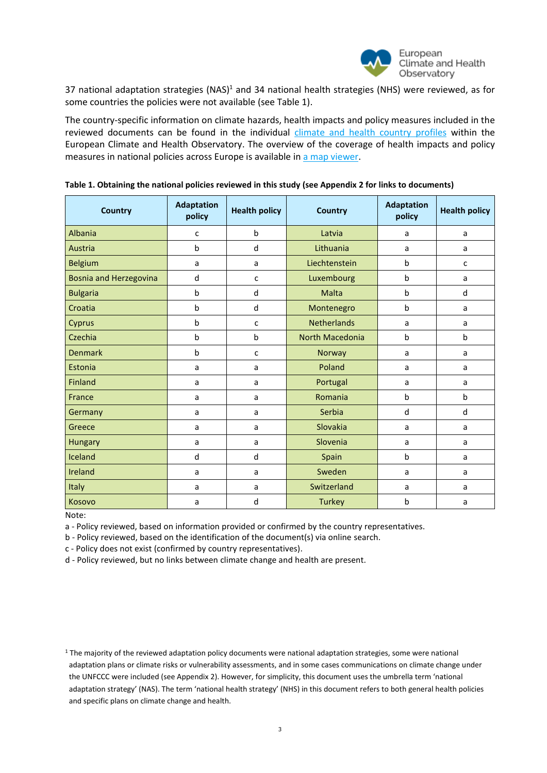

37 national adaptation strategies (NAS)<sup>1</sup> and 34 national health strategies (NHS) were reviewed, as for some countries the policies were not available (see Table 1).

The country-specific information on climate hazards, health impacts and policy measures included in the reviewed documents can be found in the individual [climate and health country profiles](https://climate-adapt.eea.europa.eu/observatory/policy-context/country-profiles) within the European Climate and Health Observatory. The overview of the coverage of health impacts and policy measures in national policies across Europe is available in [a map viewer.](https://maps.eea.europa.eu/wab/NationalAdaptation/)

| <b>Country</b>                | <b>Adaptation</b><br>policy | <b>Health policy</b> | <b>Country</b>     | <b>Adaptation</b><br>policy | <b>Health policy</b> |
|-------------------------------|-----------------------------|----------------------|--------------------|-----------------------------|----------------------|
| Albania                       | c                           | b                    | Latvia             | a                           | a                    |
| Austria                       | b                           | d                    | Lithuania          | a                           | a                    |
| Belgium                       | a                           | a                    | Liechtenstein      | b                           | C                    |
| <b>Bosnia and Herzegovina</b> | d                           | $\mathsf{C}$         | Luxembourg         | b                           | a                    |
| <b>Bulgaria</b>               | b                           | d                    | Malta              | b                           | d                    |
| Croatia                       | b                           | d                    | Montenegro         | b                           | a                    |
| Cyprus                        | b                           | c                    | <b>Netherlands</b> | a                           | a                    |
| Czechia                       | b                           | b                    | North Macedonia    | b                           | b                    |
| <b>Denmark</b>                | b                           | c                    | Norway             | a                           | a                    |
| Estonia                       | a                           | a                    | Poland             | a                           | a                    |
| Finland                       | a                           | a                    | Portugal           | a                           | a                    |
| France                        | a                           | a                    | Romania            | $\mathbf b$                 | b                    |
| Germany                       | a                           | a                    | Serbia             | d                           | d                    |
| Greece                        | a                           | a                    | Slovakia           | a                           | a                    |
| Hungary                       | a                           | a                    | Slovenia           | a                           | a                    |
| Iceland                       | d                           | d                    | Spain              | b                           | a                    |
| Ireland                       | a                           | a                    | Sweden             | a                           | a                    |
| Italy                         | a                           | a                    | Switzerland        | a                           | a                    |
| Kosovo                        | a                           | d                    | <b>Turkey</b>      | $\mathbf b$                 | a                    |

**Table 1. Obtaining the national policies reviewed in this study (see Appendix 2 for links to documents)**

Note:

a - Policy reviewed, based on information provided or confirmed by the country representatives.

b - Policy reviewed, based on the identification of the document(s) via online search.

c - Policy does not exist (confirmed by country representatives).

d - Policy reviewed, but no links between climate change and health are present.

 $1$  The majority of the reviewed adaptation policy documents were national adaptation strategies, some were national adaptation plans or climate risks or vulnerability assessments, and in some cases communications on climate change under the UNFCCC were included (see Appendix 2). However, for simplicity, this document uses the umbrella term 'national adaptation strategy' (NAS). The term 'national health strategy' (NHS) in this document refers to both general health policies and specific plans on climate change and health.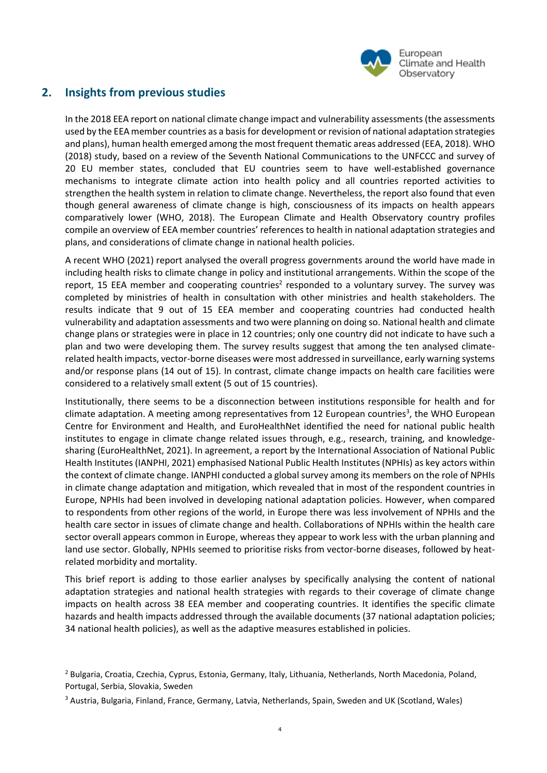

# <span id="page-3-0"></span>**2. Insights from previous studies**

In the 2018 EEA report on national climate change impact and vulnerability assessments(the assessments used by the EEA member countries as a basis for development orrevision of national adaptation strategies and plans), human health emerged among the most frequent thematic areas addressed (EEA, 2018). WHO (2018) study, based on a review of the Seventh National Communications to the UNFCCC and survey of 20 EU member states, concluded that EU countries seem to have well-established governance mechanisms to integrate climate action into health policy and all countries reported activities to strengthen the health system in relation to climate change. Nevertheless, the report also found that even though general awareness of climate change is high, consciousness of its impacts on health appears comparatively lower (WHO, 2018). The European Climate and Health Observatory [country profiles](https://climate-adapt.eea.europa.eu/observatory/policy-context/country-profiles) compile an overview of EEA member countries' references to health in national adaptation strategies and plans, and considerations of climate change in national health policies.

A recent WHO (2021) report analysed the overall progress governments around the world have made in including health risks to climate change in policy and institutional arrangements. Within the scope of the report, 15 EEA member and cooperating countries<sup>2</sup> responded to a voluntary survey. The survey was completed by ministries of health in consultation with other ministries and health stakeholders. The results indicate that 9 out of 15 EEA member and cooperating countries had conducted health vulnerability and adaptation assessments and two were planning on doing so. National health and climate change plans or strategies were in place in 12 countries; only one country did not indicate to have such a plan and two were developing them. The survey results suggest that among the ten analysed climaterelated health impacts, vector-borne diseases were most addressed in surveillance, early warning systems and/or response plans (14 out of 15). In contrast, climate change impacts on health care facilities were considered to a relatively small extent (5 out of 15 countries).

Institutionally, there seems to be a disconnection between institutions responsible for health and for climate adaptation. A meeting among representatives from 12 European countries<sup>3</sup>, the WHO European Centre for Environment and Health, and EuroHealthNet identified the need for national public health institutes to engage in climate change related issues through, e.g., research, training, and knowledgesharing (EuroHealthNet, 2021). In agreement, a report by the International Association of National Public Health Institutes (IANPHI, 2021) emphasised National Public Health Institutes (NPHIs) as key actors within the context of climate change. IANPHI conducted a global survey among its members on the role of NPHIs in climate change adaptation and mitigation, which revealed that in most of the respondent countries in Europe, NPHIs had been involved in developing national adaptation policies. However, when compared to respondents from other regions of the world, in Europe there was less involvement of NPHIs and the health care sector in issues of climate change and health. Collaborations of NPHIs within the health care sector overall appears common in Europe, whereas they appear to work less with the urban planning and land use sector. Globally, NPHIs seemed to prioritise risks from vector-borne diseases, followed by heatrelated morbidity and mortality.

This brief report is adding to those earlier analyses by specifically analysing the content of national adaptation strategies and national health strategies with regards to their coverage of climate change impacts on health across 38 EEA member and cooperating countries. It identifies the specific climate hazards and health impacts addressed through the available documents (37 national adaptation policies; 34 national health policies), as well as the adaptive measures established in policies.

<sup>2</sup> Bulgaria, Croatia, Czechia, Cyprus, Estonia, Germany, Italy, Lithuania, Netherlands, North Macedonia, Poland, Portugal, Serbia, Slovakia, Sweden

<sup>3</sup> Austria, Bulgaria, Finland, France, Germany, Latvia, Netherlands, Spain, Sweden and UK (Scotland, Wales)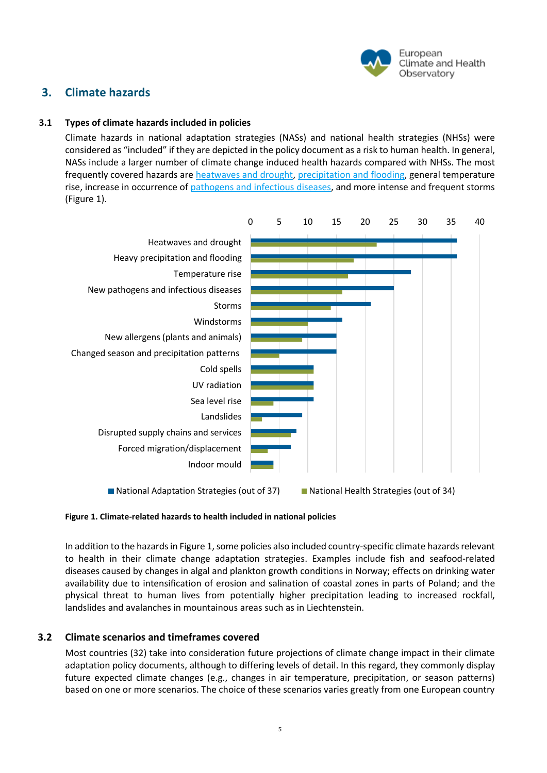

# <span id="page-4-0"></span>**3. Climate hazards**

#### **3.1 Types of climate hazards included in policies**

<span id="page-4-1"></span>Climate hazards in national adaptation strategies (NASs) and national health strategies (NHSs) were considered as "included" if they are depicted in the policy document as a risk to human health. In general, NASs include a larger number of climate change induced health hazards compared with NHSs. The most frequently covered hazards are [heatwaves and drought,](https://climate-adapt.eea.europa.eu/observatory/evidence/health-effects/heat-and-health/heat-and-health) [precipitation and flooding,](https://climate-adapt.eea.europa.eu/observatory/evidence/health-effects/flooding) general temperature rise, increase in occurrence of [pathogens and infectious diseases,](https://climate-adapt.eea.europa.eu/observatory/evidence/health-effects/vector-borne-diseases) and more intense and frequent storms (Figure 1).



#### **Figure 1. Climate-related hazards to health included in national policies**

In addition to the hazards in Figure 1, some policies also included country-specific climate hazards relevant to health in their climate change adaptation strategies. Examples include fish and seafood-related diseases caused by changes in algal and plankton growth conditions in Norway; effects on drinking water availability due to intensification of erosion and salination of coastal zones in parts of Poland; and the physical threat to human lives from potentially higher precipitation leading to increased rockfall, landslides and avalanches in mountainous areas such as in Liechtenstein.

#### **3.2 Climate scenarios and timeframes covered**

<span id="page-4-2"></span>Most countries (32) take into consideration future projections of climate change impact in their climate adaptation policy documents, although to differing levels of detail. In this regard, they commonly display future expected climate changes (e.g., changes in air temperature, precipitation, or season patterns) based on one or more scenarios. The choice of these scenarios varies greatly from one European country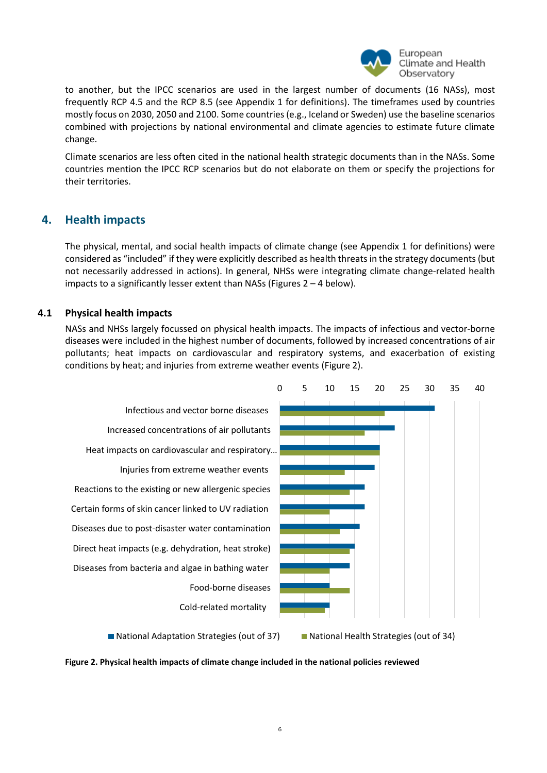

to another, but the IPCC scenarios are used in the largest number of documents (16 NASs), most frequently RCP 4.5 and the RCP 8.5 (see Appendix 1 for definitions). The timeframes used by countries mostly focus on 2030, 2050 and 2100. Some countries (e.g., Iceland or Sweden) use the baseline scenarios combined with projections by national environmental and climate agencies to estimate future climate change.

Climate scenarios are less often cited in the national health strategic documents than in the NASs. Some countries mention the IPCC RCP scenarios but do not elaborate on them or specify the projections for their territories.

### <span id="page-5-0"></span>**4. Health impacts**

The physical, mental, and social health impacts of climate change (see Appendix 1 for definitions) were considered as "included" if they were explicitly described as health threats in the strategy documents (but not necessarily addressed in actions). In general, NHSs were integrating climate change-related health impacts to a significantly lesser extent than NASs (Figures 2 – 4 below).

#### **4.1 Physical health impacts**

<span id="page-5-1"></span>NASs and NHSs largely focussed on physical health impacts. The impacts of infectious and vector-borne diseases were included in the highest number of documents, followed by increased concentrations of air pollutants; heat impacts on cardiovascular and respiratory systems, and exacerbation of existing conditions by heat; and injuries from extreme weather events (Figure 2).



■ National Adaptation Strategies (out of 37) National Health Strategies (out of 34)

**Figure 2. Physical health impacts of climate change included in the national policies reviewed**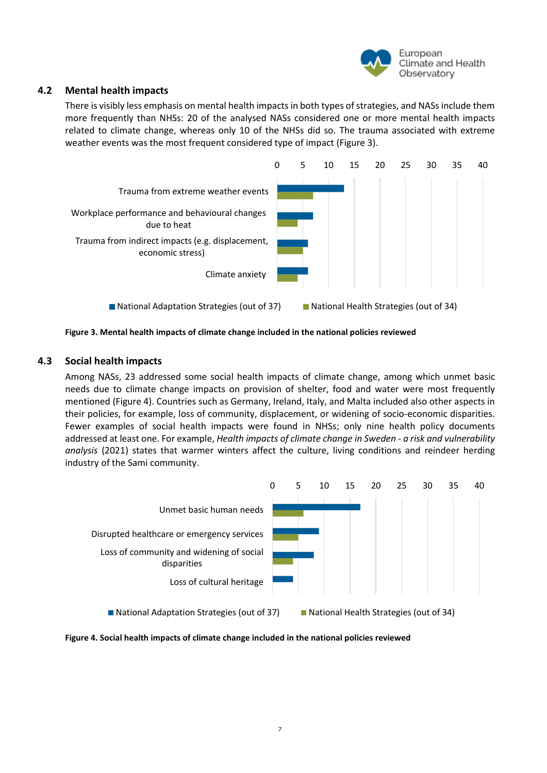

### **4.2 Mental health impacts**

<span id="page-6-0"></span>There is visibly less emphasis on mental health impacts in both types of strategies, and NASs include them more frequently than NHSs: 20 of the analysed NASs considered one or more mental health impacts related to climate change, whereas only 10 of the NHSs did so. The trauma associated with extreme weather events was the most frequent considered type of impact (Figure 3).



<span id="page-6-1"></span>**Figure 3. Mental health impacts of climate change included in the national policies reviewed**

#### **4.3 Social health impacts**

Among NASs, 23 addressed some social health impacts of climate change, among which unmet basic needs due to climate change impacts on provision of shelter, food and water were most frequently mentioned (Figure 4). Countries such as Germany, Ireland, Italy, and Malta included also other aspects in their policies, for example, loss of community, displacement, or widening of socio-economic disparities. Fewer examples of social health impacts were found in NHSs; only nine health policy documents addressed at least one. For example, *Health impacts of climate change in Sweden - a risk and vulnerability analysis* (2021) states that warmer winters affect the culture, living conditions and reindeer herding industry of the Sami community.



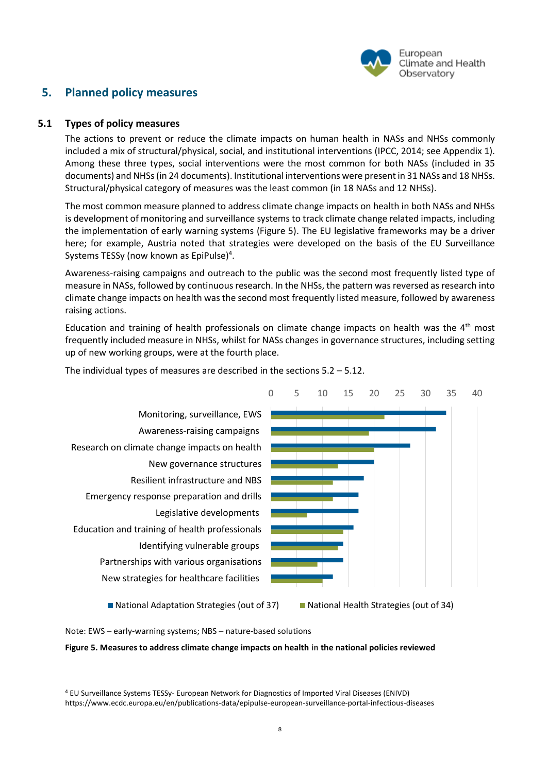

# <span id="page-7-0"></span>**5. Planned policy measures**

#### **5.1 Types of policy measures**

<span id="page-7-1"></span>The actions to prevent or reduce the climate impacts on human health in NASs and NHSs commonly included a mix of structural/physical, social, and institutional interventions (IPCC, 2014; see Appendix 1). Among these three types, social interventions were the most common for both NASs (included in 35 documents) and NHSs(in 24 documents). Institutional interventions were present in 31 NASs and 18 NHSs. Structural/physical category of measures was the least common (in 18 NASs and 12 NHSs).

The most common measure planned to address climate change impacts on health in both NASs and NHSs is development of monitoring and surveillance systems to track climate change related impacts, including the implementation of early warning systems (Figure 5). The EU legislative frameworks may be a driver here; for example, Austria noted that strategies were developed on the basis of the EU Surveillance Systems TESSy (now known as EpiPulse)<sup>4</sup>.

Awareness-raising campaigns and outreach to the public was the second most frequently listed type of measure in NASs, followed by continuous research. In the NHSs, the pattern was reversed as research into climate change impacts on health was the second most frequently listed measure, followed by awareness raising actions.

Education and training of health professionals on climate change impacts on health was the  $4<sup>th</sup>$  most frequently included measure in NHSs, whilst for NASs changes in governance structures, including setting up of new working groups, were at the fourth place.



The individual types of measures are described in the sections 5.2 – 5.12.

■ National Adaptation Strategies (out of 37) <br>■ National Health Strategies (out of 34)

Note: EWS – early-warning systems; NBS – nature-based solutions

#### **Figure 5. Measures to address climate change impacts on health in the national policies reviewed**

<sup>4</sup> EU Surveillance Systems TESSy- European Network for Diagnostics of Imported Viral Diseases (ENIVD) https://www.ecdc.europa.eu/en/publications-data/epipulse-european-surveillance-portal-infectious-diseases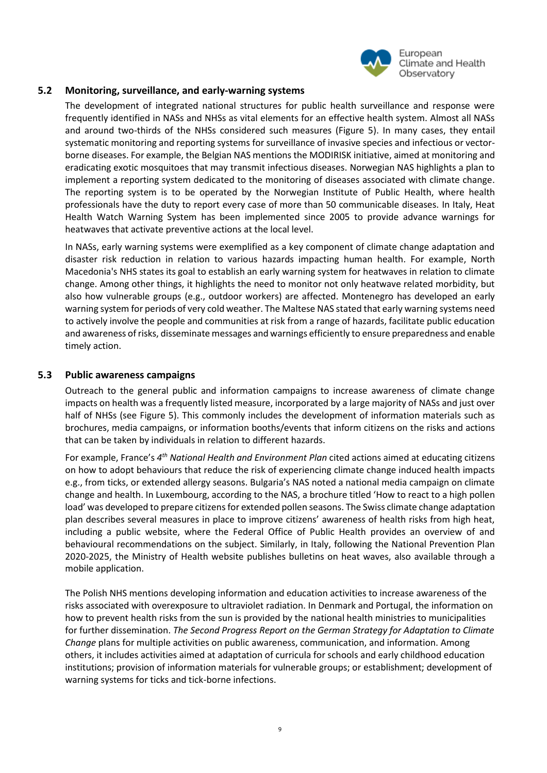

#### **5.2 Monitoring, surveillance, and early-warning systems**

<span id="page-8-0"></span>The development of integrated national structures for public health surveillance and response were frequently identified in NASs and NHSs as vital elements for an effective health system. Almost all NASs and around two-thirds of the NHSs considered such measures (Figure 5). In many cases, they entail systematic monitoring and reporting systems for surveillance of invasive species and infectious or vectorborne diseases. For example, the Belgian NAS mentions the MODIRISK initiative, aimed at monitoring and eradicating exotic mosquitoes that may transmit infectious diseases. Norwegian NAS highlights a plan to implement a reporting system dedicated to the monitoring of diseases associated with climate change. The reporting system is to be operated by the Norwegian Institute of Public Health, where health professionals have the duty to report every case of more than 50 communicable diseases. In Italy, Heat Health Watch Warning System has been implemented since 2005 to provide advance warnings for heatwaves that activate preventive actions at the local level.

In NASs, early warning systems were exemplified as a key component of climate change adaptation and disaster risk reduction in relation to various hazards impacting human health. For example, North Macedonia's NHS states its goal to establish an early warning system for heatwaves in relation to climate change. Among other things, it highlights the need to monitor not only heatwave related morbidity, but also how vulnerable groups (e.g., outdoor workers) are affected. Montenegro has developed an early warning system for periods of very cold weather. The Maltese NAS stated that early warning systems need to actively involve the people and communities at risk from a range of hazards, facilitate public education and awareness of risks, disseminate messages and warnings efficiently to ensure preparedness and enable timely action.

#### **5.3 Public awareness campaigns**

<span id="page-8-1"></span>Outreach to the general public and information campaigns to increase awareness of climate change impacts on health was a frequently listed measure, incorporated by a large majority of NASs and just over half of NHSs (see Figure 5). This commonly includes the development of information materials such as brochures, media campaigns, or information booths/events that inform citizens on the risks and actions that can be taken by individuals in relation to different hazards.

For example, France's 4<sup>th</sup> National Health and Environment Plan cited actions aimed at educating citizens on how to adopt behaviours that reduce the risk of experiencing climate change induced health impacts e.g., from ticks, or extended allergy seasons. Bulgaria's NAS noted a national media campaign on climate change and health. In Luxembourg, according to the NAS, a brochure titled 'How to react to a high pollen load' was developed to prepare citizens for extended pollen seasons. The Swiss climate change adaptation plan describes several measures in place to improve citizens' awareness of health risks from high heat, including a public website, where the Federal Office of Public Health provides an overview of and behavioural recommendations on the subject. Similarly, in Italy, following the National Prevention Plan 2020-2025, the Ministry of Health website publishes bulletins on heat waves, also available through a mobile application.

The Polish NHS mentions developing information and education activities to increase awareness of the risks associated with overexposure to ultraviolet radiation. In Denmark and Portugal, the information on how to prevent health risks from the sun is provided by the national health ministries to municipalities for further dissemination. *The Second Progress Report on the German Strategy for Adaptation to Climate Change* plans for multiple activities on public awareness, communication, and information. Among others, it includes activities aimed at adaptation of curricula for schools and early childhood education institutions; provision of information materials for vulnerable groups; or establishment; development of warning systems for ticks and tick-borne infections.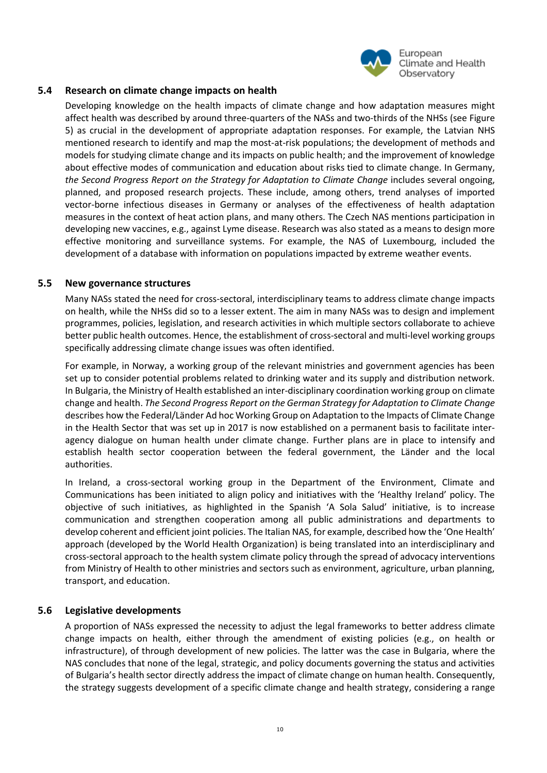

#### **5.4 Research on climate change impacts on health**

<span id="page-9-0"></span>Developing knowledge on the health impacts of climate change and how adaptation measures might affect health was described by around three-quarters of the NASs and two-thirds of the NHSs (see Figure 5) as crucial in the development of appropriate adaptation responses. For example, the Latvian NHS mentioned research to identify and map the most-at-risk populations; the development of methods and models for studying climate change and its impacts on public health; and the improvement of knowledge about effective modes of communication and education about risks tied to climate change. In Germany, *the Second Progress Report on the Strategy for Adaptation to Climate Change* includes several ongoing, planned, and proposed research projects. These include, among others, trend analyses of imported vector-borne infectious diseases in Germany or analyses of the effectiveness of health adaptation measures in the context of heat action plans, and many others. The Czech NAS mentions participation in developing new vaccines, e.g., against Lyme disease. Research was also stated as a means to design more effective monitoring and surveillance systems. For example, the NAS of Luxembourg, included the development of a database with information on populations impacted by extreme weather events.

#### **5.5 New governance structures**

<span id="page-9-1"></span>Many NASs stated the need for cross-sectoral, interdisciplinary teams to address climate change impacts on health, while the NHSs did so to a lesser extent. The aim in many NASs was to design and implement programmes, policies, legislation, and research activities in which multiple sectors collaborate to achieve better public health outcomes. Hence, the establishment of cross-sectoral and multi-level working groups specifically addressing climate change issues was often identified.

For example, in Norway, a working group of the relevant ministries and government agencies has been set up to consider potential problems related to drinking water and its supply and distribution network. In Bulgaria, the Ministry of Health established an inter-disciplinary coordination working group on climate change and health. *The Second Progress Report on the German Strategy for Adaptation to Climate Change* describes how the Federal/Länder Ad hoc Working Group on Adaptation to the Impacts of Climate Change in the Health Sector that was set up in 2017 is now established on a permanent basis to facilitate interagency dialogue on human health under climate change. Further plans are in place to intensify and establish health sector cooperation between the federal government, the Länder and the local authorities.

In Ireland, a cross-sectoral working group in the Department of the Environment, Climate and Communications has been initiated to align policy and initiatives with the 'Healthy Ireland' policy. The objective of such initiatives, as highlighted in the Spanish 'A Sola Salud' initiative, is to increase communication and strengthen cooperation among all public administrations and departments to develop coherent and efficient joint policies. The Italian NAS, for example, described how the 'One Health' approach (developed by the World Health Organization) is being translated into an interdisciplinary and cross-sectoral approach to the health system climate policy through the spread of advocacy interventions from Ministry of Health to other ministries and sectors such as environment, agriculture, urban planning, transport, and education.

### **5.6 Legislative developments**

<span id="page-9-2"></span>A proportion of NASs expressed the necessity to adjust the legal frameworks to better address climate change impacts on health, either through the amendment of existing policies (e.g., on health or infrastructure), of through development of new policies. The latter was the case in Bulgaria, where the NAS concludes that none of the legal, strategic, and policy documents governing the status and activities of Bulgaria's health sector directly address the impact of climate change on human health. Consequently, the strategy suggests development of a specific climate change and health strategy, considering a range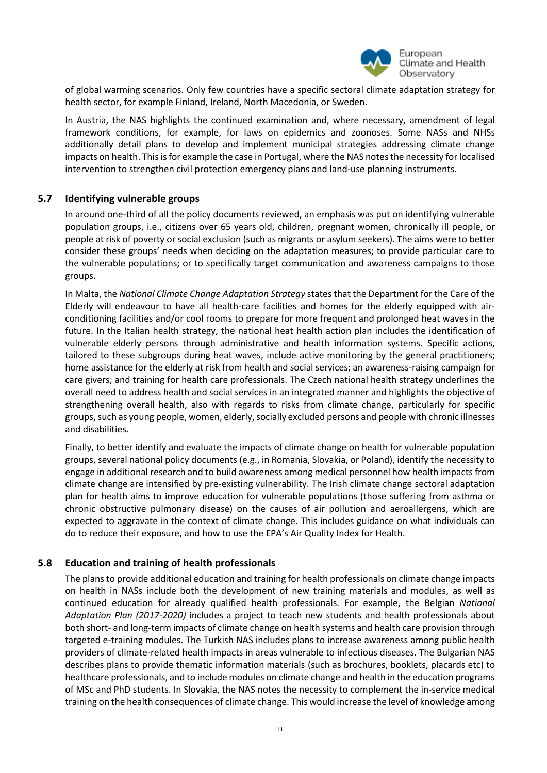

of global warming scenarios. Only few countries have a specific sectoral climate adaptation strategy for health sector, for example Finland, Ireland, North Macedonia, or Sweden.

In Austria, the NAS highlights the continued examination and, where necessary, amendment of legal framework conditions, for example, for laws on epidemics and zoonoses. Some NASs and NHSs additionally detail plans to develop and implement municipal strategies addressing climate change impacts on health. This is for example the case in Portugal, where the NAS notes the necessity for localised intervention to strengthen civil protection emergency plans and land-use planning instruments.

#### **5.7 Identifying vulnerable groups**

<span id="page-10-0"></span>In around one-third of all the policy documents reviewed, an emphasis was put on identifying vulnerable population groups, i.e., citizens over 65 years old, children, pregnant women, chronically ill people, or people at risk of poverty or social exclusion (such as migrants or asylum seekers). The aims were to better consider these groups' needs when deciding on the adaptation measures; to provide particular care to the vulnerable populations; or to specifically target communication and awareness campaigns to those groups.

In Malta, the *National Climate Change Adaptation Strategy* states that the Department for the Care of the Elderly will endeavour to have all health-care facilities and homes for the elderly equipped with airconditioning facilities and/or cool rooms to prepare for more frequent and prolonged heat waves in the future. In the Italian health strategy, the national heat health action plan includes the identification of vulnerable elderly persons through administrative and health information systems. Specific actions, tailored to these subgroups during heat waves, include active monitoring by the general practitioners; home assistance for the elderly at risk from health and social services; an awareness-raising campaign for care givers; and training for health care professionals. The Czech national health strategy underlines the overall need to address health and social services in an integrated manner and highlights the objective of strengthening overall health, also with regards to risks from climate change, particularly for specific groups, such as young people, women, elderly, socially excluded persons and people with chronic illnesses and disabilities.

Finally, to better identify and evaluate the impacts of climate change on health for vulnerable population groups, several national policy documents (e.g., in Romania, Slovakia, or Poland), identify the necessity to engage in additional research and to build awareness among medical personnel how health impacts from climate change are intensified by pre-existing vulnerability. The Irish climate change sectoral adaptation plan for health aims to improve education for vulnerable populations (those suffering from asthma or chronic obstructive pulmonary disease) on the causes of air pollution and aeroallergens, which are expected to aggravate in the context of climate change. This includes guidance on what individuals can do to reduce their exposure, and how to use the EPA's Air Quality Index for Health.

### <span id="page-10-1"></span>**5.8 Education and training of health professionals**

The plans to provide additional education and training for health professionals on climate change impacts on health in NASs include both the development of new training materials and modules, as well as continued education for already qualified health professionals. For example, the Belgian *National Adaptation Plan (2017-2020)* includes a project to teach new students and health professionals about both short- and long-term impacts of climate change on health systems and health care provision through targeted e-training modules. The Turkish NAS includes plans to increase awareness among public health providers of climate-related health impacts in areas vulnerable to infectious diseases. The Bulgarian NAS describes plans to provide thematic information materials (such as brochures, booklets, placards etc) to healthcare professionals, and to include modules on climate change and health in the education programs of MSc and PhD students. In Slovakia, the NAS notes the necessity to complement the in-service medical training on the health consequences of climate change. This would increase the level of knowledge among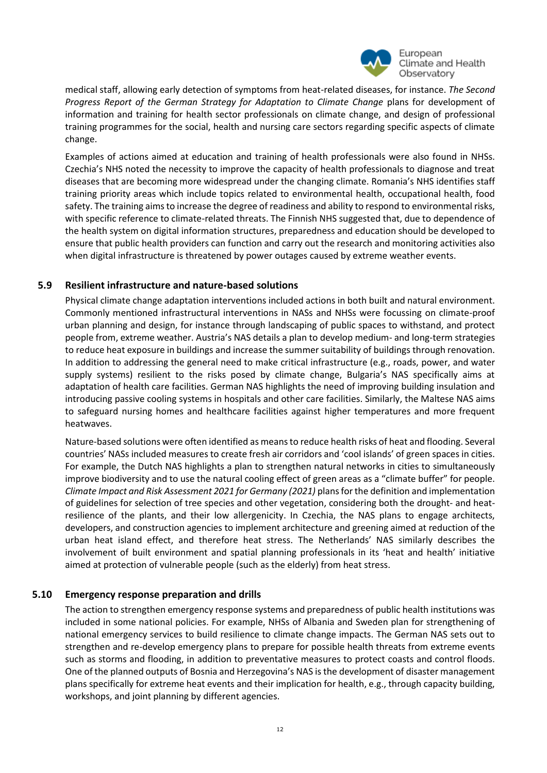

medical staff, allowing early detection of symptoms from heat-related diseases, for instance. *The Second Progress Report of the German Strategy for Adaptation to Climate Change* plans for development of information and training for health sector professionals on climate change, and design of professional training programmes for the social, health and nursing care sectors regarding specific aspects of climate change.

Examples of actions aimed at education and training of health professionals were also found in NHSs. Czechia's NHS noted the necessity to improve the capacity of health professionals to diagnose and treat diseases that are becoming more widespread under the changing climate. Romania's NHS identifies staff training priority areas which include topics related to environmental health, occupational health, food safety. The training aims to increase the degree of readiness and ability to respond to environmental risks, with specific reference to climate-related threats. The Finnish NHS suggested that, due to dependence of the health system on digital information structures, preparedness and education should be developed to ensure that public health providers can function and carry out the research and monitoring activities also when digital infrastructure is threatened by power outages caused by extreme weather events.

### **5.9 Resilient infrastructure and nature-based solutions**

<span id="page-11-0"></span>Physical climate change adaptation interventions included actions in both built and natural environment. Commonly mentioned infrastructural interventions in NASs and NHSs were focussing on climate-proof urban planning and design, for instance through landscaping of public spaces to withstand, and protect people from, extreme weather. Austria's NAS details a plan to develop medium- and long-term strategies to reduce heat exposure in buildings and increase the summer suitability of buildings through renovation. In addition to addressing the general need to make critical infrastructure (e.g., roads, power, and water supply systems) resilient to the risks posed by climate change, Bulgaria's NAS specifically aims at adaptation of health care facilities. German NAS highlights the need of improving building insulation and introducing passive cooling systems in hospitals and other care facilities. Similarly, the Maltese NAS aims to safeguard nursing homes and healthcare facilities against higher temperatures and more frequent heatwaves.

Nature-based solutions were often identified as means to reduce health risks of heat and flooding. Several countries' NASs included measures to create fresh air corridors and 'cool islands' of green spaces in cities. For example, the Dutch NAS highlights a plan to strengthen natural networks in cities to simultaneously improve biodiversity and to use the natural cooling effect of green areas as a "climate buffer" for people. *Climate Impact and Risk Assessment 2021 for Germany (2021)* plans for the definition and implementation of guidelines for selection of tree species and other vegetation, considering both the drought- and heatresilience of the plants, and their low allergenicity. In Czechia, the NAS plans to engage architects, developers, and construction agencies to implement architecture and greening aimed at reduction of the urban heat island effect, and therefore heat stress. The Netherlands' NAS similarly describes the involvement of built environment and spatial planning professionals in its 'heat and health' initiative aimed at protection of vulnerable people (such as the elderly) from heat stress.

### **5.10 Emergency response preparation and drills**

<span id="page-11-1"></span>The action to strengthen emergency response systems and preparedness of public health institutions was included in some national policies. For example, NHSs of Albania and Sweden plan for strengthening of national emergency services to build resilience to climate change impacts. The German NAS sets out to strengthen and re-develop emergency plans to prepare for possible health threats from extreme events such as storms and flooding, in addition to preventative measures to protect coasts and control floods. One of the planned outputs of Bosnia and Herzegovina's NAS is the development of disaster management plans specifically for extreme heat events and their implication for health, e.g., through capacity building, workshops, and joint planning by different agencies.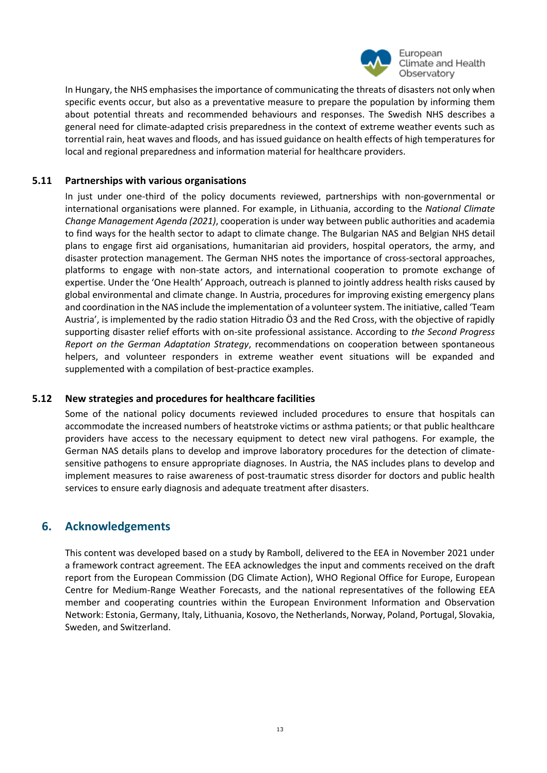

In Hungary, the NHS emphasises the importance of communicating the threats of disasters not only when specific events occur, but also as a preventative measure to prepare the population by informing them about potential threats and recommended behaviours and responses. The Swedish NHS describes a general need for climate-adapted crisis preparedness in the context of extreme weather events such as torrential rain, heat waves and floods, and has issued guidance on health effects of high temperatures for local and regional preparedness and information material for healthcare providers.

### **5.11 Partnerships with various organisations**

<span id="page-12-0"></span>In just under one-third of the policy documents reviewed, partnerships with non-governmental or international organisations were planned. For example, in Lithuania, according to the *National Climate Change Management Agenda (2021)*, cooperation is under way between public authorities and academia to find ways for the health sector to adapt to climate change. The Bulgarian NAS and Belgian NHS detail plans to engage first aid organisations, humanitarian aid providers, hospital operators, the army, and disaster protection management. The German NHS notes the importance of cross-sectoral approaches, platforms to engage with non-state actors, and international cooperation to promote exchange of expertise. Under the 'One Health' Approach, outreach is planned to jointly address health risks caused by global environmental and climate change. In Austria, procedures for improving existing emergency plans and coordination in the NAS include the implementation of a volunteer system. The initiative, called 'Team Austria', is implemented by the radio station Hitradio Ö3 and the Red Cross, with the objective of rapidly supporting disaster relief efforts with on-site professional assistance. According to *the Second Progress Report on the German Adaptation Strategy*, recommendations on cooperation between spontaneous helpers, and volunteer responders in extreme weather event situations will be expanded and supplemented with a compilation of best-practice examples.

### **5.12 New strategies and procedures for healthcare facilities**

<span id="page-12-1"></span>Some of the national policy documents reviewed included procedures to ensure that hospitals can accommodate the increased numbers of heatstroke victims or asthma patients; or that public healthcare providers have access to the necessary equipment to detect new viral pathogens. For example, the German NAS details plans to develop and improve laboratory procedures for the detection of climatesensitive pathogens to ensure appropriate diagnoses. In Austria, the NAS includes plans to develop and implement measures to raise awareness of post-traumatic stress disorder for doctors and public health services to ensure early diagnosis and adequate treatment after disasters.

### <span id="page-12-2"></span>**6. Acknowledgements**

This content was developed based on a study by Ramboll, delivered to the EEA in November 2021 under a framework contract agreement. The EEA acknowledges the input and comments received on the draft report from the European Commission (DG Climate Action), WHO Regional Office for Europe, European Centre for Medium-Range Weather Forecasts, and the national representatives of the following EEA member and cooperating countries within the European Environment Information and Observation Network: Estonia, Germany, Italy, Lithuania, Kosovo, the Netherlands, Norway, Poland, Portugal, Slovakia, Sweden, and Switzerland.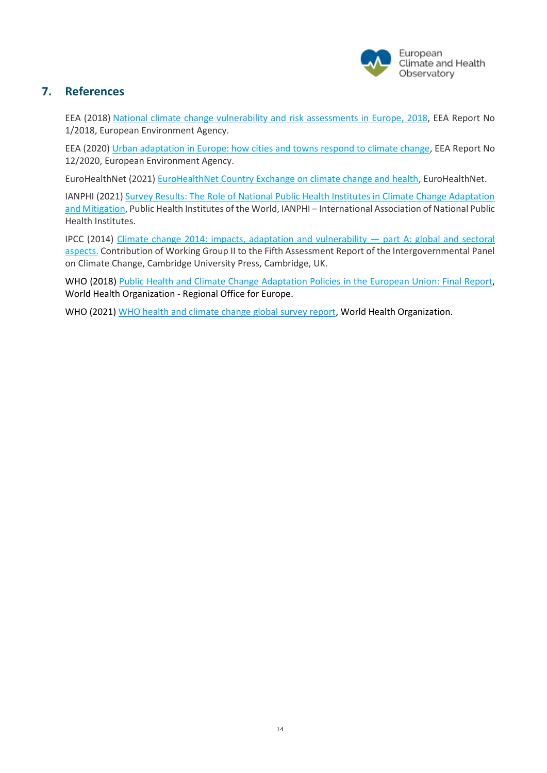

# <span id="page-13-0"></span>**7. References**

EEA (2018) [National climate change vulnerability and risk assessments in Europe, 2018,](https://www.eea.europa.eu/publications/national-climate-change-vulnerability-2018) EEA Report No 1/2018, European Environment Agency.

EEA (2020) [Urban adaptation in Europe: how cities and towns respond to climate change,](https://www.eea.europa.eu/publications/urban-adaptation-in-europe) EEA Report No 12/2020, European Environment Agency.

EuroHealthNet (2021) [EuroHealthNet Country Exchange on climate change and health,](https://eurohealthnet.eu/wp-content/uploads/publications/2022/220119_cev-report_climate-change-and-health_final.pdf) EuroHealthNet.

IANPHI (2021) [Survey Results: The Role of National Public Health Institutes in Climate Change Adaptation](https://ianphi.org/_includes/documents/sections/tools-resources/climate-change/2021-survey.pdf)  [and Mitigation,](https://ianphi.org/_includes/documents/sections/tools-resources/climate-change/2021-survey.pdf) Public Health Institutes of the World, IANPHI – International Association of National Public Health Institutes.

IPCC (2014) [Climate change 2014: impacts, adaptation and vulnerability](https://www.ipcc.ch/site/assets/uploads/2018/02/WGIIAR5-PartA_FINAL.pdf) — part A: global and sectoral [aspects.](https://www.ipcc.ch/site/assets/uploads/2018/02/WGIIAR5-PartA_FINAL.pdf) Contribution of Working Group II to the Fifth Assessment Report of the Intergovernmental Panel on Climate Change, Cambridge University Press, Cambridge, UK.

WHO (2018) [Public Health and Climate Change Adaptation Policies in the European Union:](https://www.euro.who.int/__data/assets/pdf_file/0010/386965/Pagoda-REPORT-final-published-2.pdf) Final Report, World Health Organization - Regional Office for Europe.

WHO (2021) [WHO health and climate change global survey report,](https://www.who.int/publications/i/item/9789240038509) World Health Organization.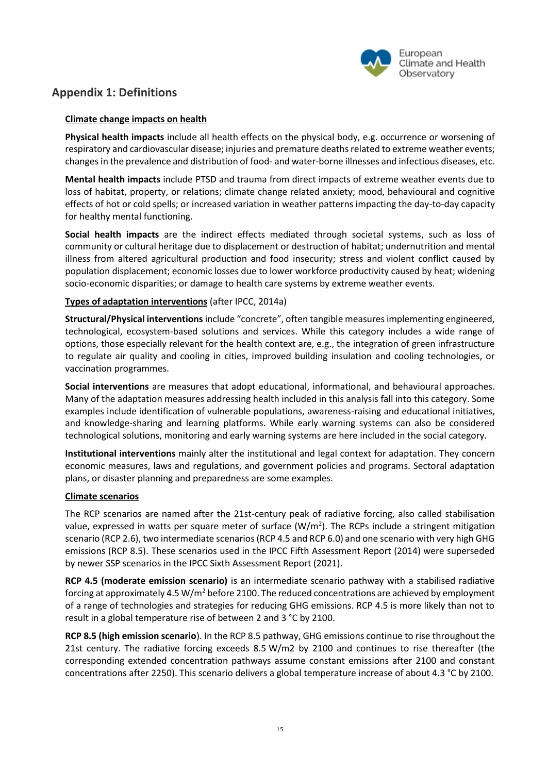

# <span id="page-14-0"></span>**Appendix 1: Definitions**

#### **Climate change impacts on health**

**Physical health impacts** include all health effects on the physical body, e.g. occurrence or worsening of respiratory and cardiovascular disease; injuries and premature deaths related to extreme weather events; changes in the prevalence and distribution of food- and water-borne illnesses and infectious diseases, etc.

**Mental health impacts** include PTSD and trauma from direct impacts of extreme weather events due to loss of habitat, property, or relations; climate change related anxiety; mood, behavioural and cognitive effects of hot or cold spells; or increased variation in weather patterns impacting the day-to-day capacity for healthy mental functioning.

**Social health impacts** are the indirect effects mediated through societal systems, such as loss of community or cultural heritage due to displacement or destruction of habitat; undernutrition and mental illness from altered agricultural production and food insecurity; stress and violent conflict caused by population displacement; economic losses due to lower workforce productivity caused by heat; widening socio-economic disparities; or damage to health care systems by extreme weather events.

#### **Types of adaptation interventions** (after IPCC, 2014a)

**Structural/Physical interventions** include "concrete", often tangible measures implementing engineered, technological, ecosystem-based solutions and services. While this category includes a wide range of options, those especially relevant for the health context are, e.g., the integration of green infrastructure to regulate air quality and cooling in cities, improved building insulation and cooling technologies, or vaccination programmes.

**Social interventions** are measures that adopt educational, informational, and behavioural approaches. Many of the adaptation measures addressing health included in this analysis fall into this category. Some examples include identification of vulnerable populations, awareness-raising and educational initiatives, and knowledge-sharing and learning platforms. While early warning systems can also be considered technological solutions, monitoring and early warning systems are here included in the social category.

**Institutional interventions** mainly alter the institutional and legal context for adaptation. They concern economic measures, laws and regulations, and government policies and programs. Sectoral adaptation plans, or disaster planning and preparedness are some examples.

#### **Climate scenarios**

The RCP scenarios are named after the 21st-century peak of radiative forcing, also called stabilisation value, expressed in watts per square meter of surface (W/m<sup>2</sup>). The RCPs include a stringent mitigation scenario (RCP 2.6), two intermediate scenarios (RCP 4.5 and RCP 6.0) and one scenario with very high GHG emissions (RCP 8.5). These scenarios used in the IPCC Fifth Assessment Report (2014) were superseded by newer SSP scenarios in the IPCC Sixth Assessment Report (2021).

**RCP 4.5 (moderate emission scenario)** is an intermediate scenario pathway with a stabilised radiative forcing at approximately 4.5 W/m<sup>2</sup> before 2100. The reduced concentrations are achieved by employment of a range of technologies and strategies for reducing GHG emissions. RCP 4.5 is more likely than not to result in a global temperature rise of between 2 and 3 °C by 2100.

**RCP 8.5 (high emission scenario**). In the RCP 8.5 pathway, GHG emissions continue to rise throughout the 21st century. The radiative forcing exceeds 8.5 W/m2 by 2100 and continues to rise thereafter (the corresponding extended concentration pathways assume constant emissions after 2100 and constant concentrations after 2250). This scenario delivers a global temperature increase of about 4.3 °C by 2100.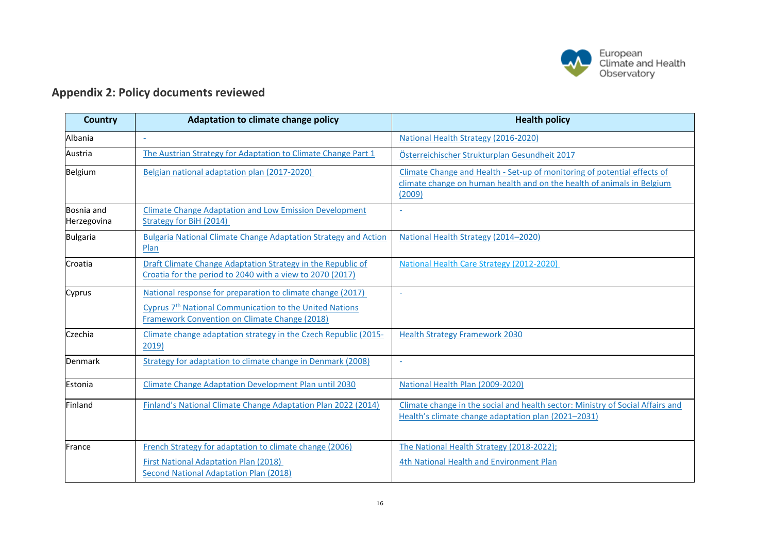

# **Appendix 2: Policy documents reviewed**

<span id="page-15-0"></span>

| <b>Country</b>            | <b>Adaptation to climate change policy</b>                                                                                                                                         | <b>Health policy</b>                                                                                                                                         |
|---------------------------|------------------------------------------------------------------------------------------------------------------------------------------------------------------------------------|--------------------------------------------------------------------------------------------------------------------------------------------------------------|
| Albania                   | $\overline{\phantom{a}}$                                                                                                                                                           | National Health Strategy (2016-2020)                                                                                                                         |
| Austria                   | The Austrian Strategy for Adaptation to Climate Change Part 1                                                                                                                      | Österreichischer Strukturplan Gesundheit 2017                                                                                                                |
| Belgium                   | Belgian national adaptation plan (2017-2020)                                                                                                                                       | Climate Change and Health - Set-up of monitoring of potential effects of<br>climate change on human health and on the health of animals in Belgium<br>(2009) |
| Bosnia and<br>Herzegovina | <b>Climate Change Adaptation and Low Emission Development</b><br>Strategy for BiH (2014)                                                                                           |                                                                                                                                                              |
| <b>Bulgaria</b>           | <b>Bulgaria National Climate Change Adaptation Strategy and Action</b><br>Plan                                                                                                     | National Health Strategy (2014-2020)                                                                                                                         |
| Croatia                   | Draft Climate Change Adaptation Strategy in the Republic of<br>Croatia for the period to 2040 with a view to 2070 (2017)                                                           | National Health Care Strategy (2012-2020)                                                                                                                    |
| Cyprus                    | National response for preparation to climate change (2017)<br>Cyprus 7 <sup>th</sup> National Communication to the United Nations<br>Framework Convention on Climate Change (2018) |                                                                                                                                                              |
| Czechia                   | Climate change adaptation strategy in the Czech Republic (2015-<br>2019)                                                                                                           | <b>Health Strategy Framework 2030</b>                                                                                                                        |
| <b>Denmark</b>            | Strategy for adaptation to climate change in Denmark (2008)                                                                                                                        | $\bar{a}$                                                                                                                                                    |
| Estonia                   | Climate Change Adaptation Development Plan until 2030                                                                                                                              | National Health Plan (2009-2020)                                                                                                                             |
| Finland                   | Finland's National Climate Change Adaptation Plan 2022 (2014)                                                                                                                      | Climate change in the social and health sector: Ministry of Social Affairs and<br>Health's climate change adaptation plan (2021-2031)                        |
| France                    | French Strategy for adaptation to climate change (2006)<br><b>First National Adaptation Plan (2018)</b><br><b>Second National Adaptation Plan (2018)</b>                           | The National Health Strategy (2018-2022);<br>4th National Health and Environment Plan                                                                        |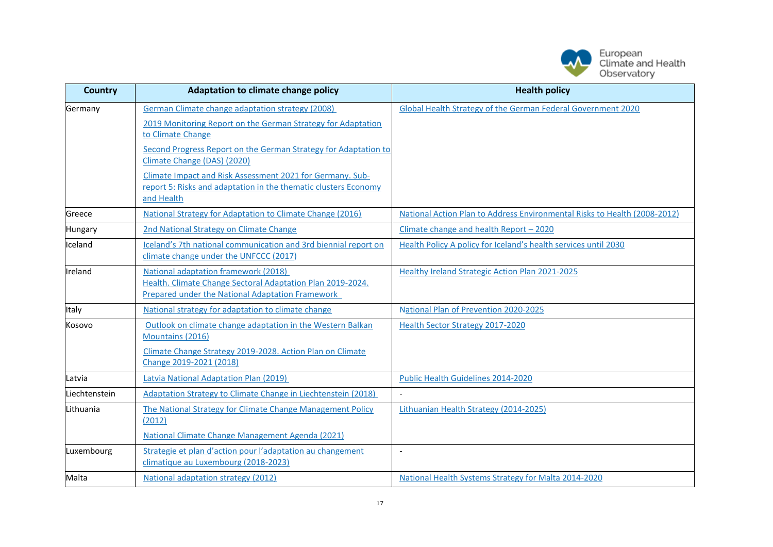

| <b>Country</b> | Adaptation to climate change policy                                                                                                                                                                                                                                                                                                                                                   | <b>Health policy</b>                                                      |
|----------------|---------------------------------------------------------------------------------------------------------------------------------------------------------------------------------------------------------------------------------------------------------------------------------------------------------------------------------------------------------------------------------------|---------------------------------------------------------------------------|
| Germany        | German Climate change adaptation strategy (2008)<br>2019 Monitoring Report on the German Strategy for Adaptation<br>to Climate Change<br>Second Progress Report on the German Strategy for Adaptation to<br>Climate Change (DAS) (2020)<br>Climate Impact and Risk Assessment 2021 for Germany. Sub-<br>report 5: Risks and adaptation in the thematic clusters Economy<br>and Health | Global Health Strategy of the German Federal Government 2020              |
| Greece         | National Strategy for Adaptation to Climate Change (2016)                                                                                                                                                                                                                                                                                                                             | National Action Plan to Address Environmental Risks to Health (2008-2012) |
| Hungary        | 2nd National Strategy on Climate Change                                                                                                                                                                                                                                                                                                                                               | Climate change and health Report - 2020                                   |
| Iceland        | Iceland's 7th national communication and 3rd biennial report on<br>climate change under the UNFCCC (2017)                                                                                                                                                                                                                                                                             | Health Policy A policy for Iceland's health services until 2030           |
| Ireland        | National adaptation framework (2018)<br>Health. Climate Change Sectoral Adaptation Plan 2019-2024.<br><b>Prepared under the National Adaptation Framework</b>                                                                                                                                                                                                                         | <b>Healthy Ireland Strategic Action Plan 2021-2025</b>                    |
| Italy          | National strategy for adaptation to climate change                                                                                                                                                                                                                                                                                                                                    | National Plan of Prevention 2020-2025                                     |
| Kosovo         | Outlook on climate change adaptation in the Western Balkan<br>Mountains (2016)<br>Climate Change Strategy 2019-2028. Action Plan on Climate<br>Change 2019-2021 (2018)                                                                                                                                                                                                                | Health Sector Strategy 2017-2020                                          |
| Latvia         | Latvia National Adaptation Plan (2019)                                                                                                                                                                                                                                                                                                                                                | Public Health Guidelines 2014-2020                                        |
| Liechtenstein  | Adaptation Strategy to Climate Change in Liechtenstein (2018)                                                                                                                                                                                                                                                                                                                         |                                                                           |
| Lithuania      | The National Strategy for Climate Change Management Policy<br>(2012)<br>National Climate Change Management Agenda (2021)                                                                                                                                                                                                                                                              | Lithuanian Health Strategy (2014-2025)                                    |
| Luxembourg     | Strategie et plan d'action pour l'adaptation au changement<br>climatique au Luxembourg (2018-2023)                                                                                                                                                                                                                                                                                    | $\blacksquare$                                                            |
| Malta          | National adaptation strategy (2012)                                                                                                                                                                                                                                                                                                                                                   | National Health Systems Strategy for Malta 2014-2020                      |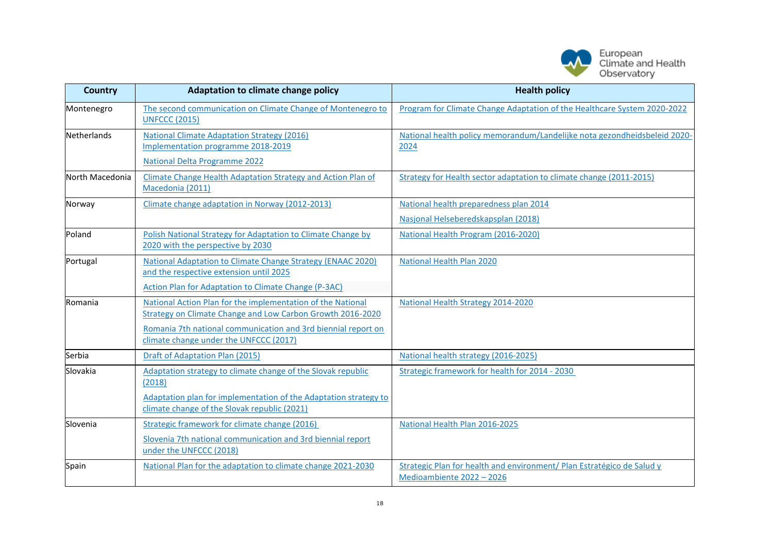

| <b>Country</b>  | Adaptation to climate change policy                                                                                                                                                                                                  | <b>Health policy</b>                                                                                |
|-----------------|--------------------------------------------------------------------------------------------------------------------------------------------------------------------------------------------------------------------------------------|-----------------------------------------------------------------------------------------------------|
| Montenegro      | The second communication on Climate Change of Montenegro to<br><b>UNFCCC (2015)</b>                                                                                                                                                  | Program for Climate Change Adaptation of the Healthcare System 2020-2022                            |
| Netherlands     | <b>National Climate Adaptation Strategy (2016)</b><br>Implementation programme 2018-2019<br><b>National Delta Programme 2022</b>                                                                                                     | National health policy memorandum/Landelijke nota gezondheidsbeleid 2020-<br>2024                   |
| North Macedonia | Climate Change Health Adaptation Strategy and Action Plan of<br>Macedonia (2011)                                                                                                                                                     | Strategy for Health sector adaptation to climate change (2011-2015)                                 |
| Norway          | Climate change adaptation in Norway (2012-2013)                                                                                                                                                                                      | National health preparedness plan 2014<br>Nasjonal Helseberedskapsplan (2018)                       |
| Poland          | Polish National Strategy for Adaptation to Climate Change by<br>2020 with the perspective by 2030                                                                                                                                    | National Health Program (2016-2020)                                                                 |
| Portugal        | <b>National Adaptation to Climate Change Strategy (ENAAC 2020)</b><br>and the respective extension until 2025<br><b>Action Plan for Adaptation to Climate Change (P-3AC)</b>                                                         | <b>National Health Plan 2020</b>                                                                    |
| Romania         | National Action Plan for the implementation of the National<br>Strategy on Climate Change and Low Carbon Growth 2016-2020<br>Romania 7th national communication and 3rd biennial report on<br>climate change under the UNFCCC (2017) | National Health Strategy 2014-2020                                                                  |
| Serbia          | Draft of Adaptation Plan (2015)                                                                                                                                                                                                      | National health strategy (2016-2025)                                                                |
| Slovakia        | Adaptation strategy to climate change of the Slovak republic<br>(2018)<br>Adaptation plan for implementation of the Adaptation strategy to<br>climate change of the Slovak republic (2021)                                           | Strategic framework for health for 2014 - 2030                                                      |
| Slovenia        | Strategic framework for climate change (2016)<br>Slovenia 7th national communication and 3rd biennial report<br>under the UNFCCC (2018)                                                                                              | National Health Plan 2016-2025                                                                      |
| Spain           | National Plan for the adaptation to climate change 2021-2030                                                                                                                                                                         | Strategic Plan for health and environment/ Plan Estratégico de Salud y<br>Medioambiente 2022 - 2026 |